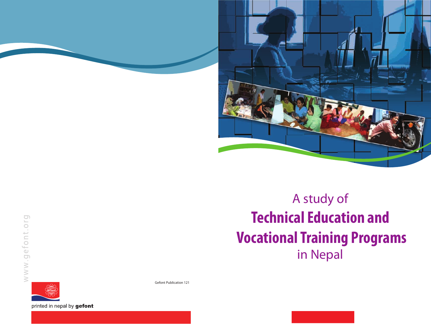

# A study of **Technical Education and Vocational Training Programs** in Nepal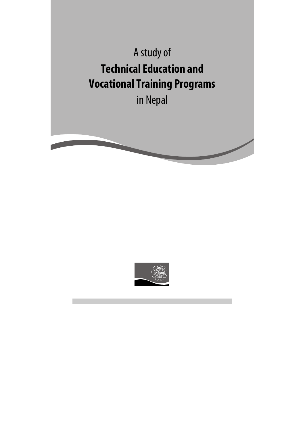# A study of **Technical Education and Vocational Training Programs**  in Nepal

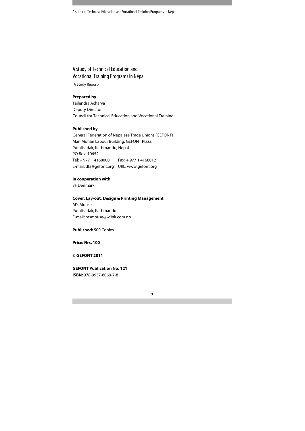#### A study of Technical Education and Vocational Training Programs in Nepal

(A Study Report)

#### **Prepared by**

Tailendra Acharya Deputy Director Council for Technical Education and Vocational Training

#### **Published by**

General Federation of Nepalese Trade Unions (GEFONT) Man Mohan Labour Building, GEFONT Plaza, Putalisadak, Kathmandu, Nepal PO Box: 10652 Tel: + 977 1 4168000 Fax: + 977 1 4168012 E-mail: dfa@gefont.org URL: www.gefont.org

#### **In cooperation with**

3F Denmark

#### **Cover, Lay-out, Design & Printing Management**

M's Mouse Putalisadak, Kathmandu E-mail: msmouse@wlink.com.np

**Published:** 500 Copies

**Price: Nrs. 100** 

© **GEFONT 2011** 

#### **GEFONT Publication No. 121**

**ISBN:** 978-9937-8069-7-8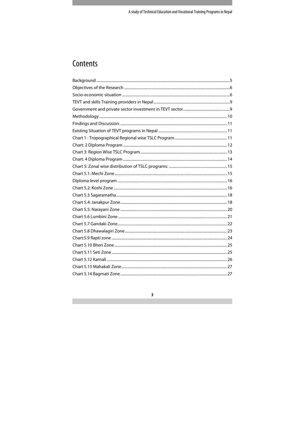# Contents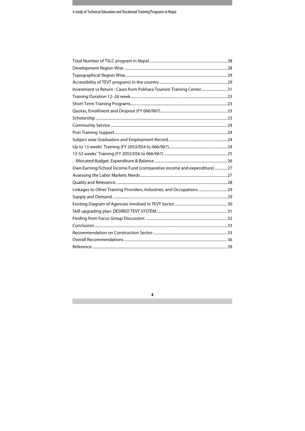| Investment vs Return : Cases from Pokhara Tourism Training Center 31   |  |
|------------------------------------------------------------------------|--|
|                                                                        |  |
|                                                                        |  |
|                                                                        |  |
|                                                                        |  |
|                                                                        |  |
|                                                                        |  |
|                                                                        |  |
|                                                                        |  |
|                                                                        |  |
|                                                                        |  |
| Own Earning/School Income Fund (comparative income and expenditure)27  |  |
|                                                                        |  |
|                                                                        |  |
| Linkages to Other Training Providers, Industries, and Occupations.  29 |  |
|                                                                        |  |
|                                                                        |  |
|                                                                        |  |
|                                                                        |  |
|                                                                        |  |
|                                                                        |  |
|                                                                        |  |
|                                                                        |  |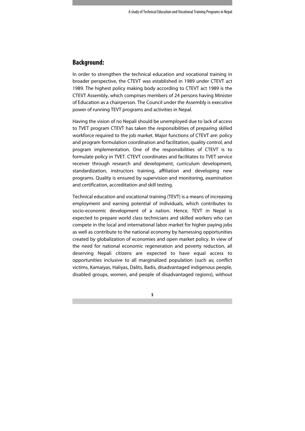### **Background:**

In order to strengthen the technical education and vocational training in broader perspective, the CTEVT was established in 1989 under CTEVT act 1989. The highest policy making body according to CTEVT act 1989 is the CTEVT Assembly, which comprises members of 24 persons having Minister of Education as a chairperson. The Council under the Assembly is executive power of running TEVT programs and activities in Nepal.

Having the vision of no Nepali should be unemployed due to lack of access to TVET program CTEVT has taken the responsibilities of preparing skilled workforce required to the job market. Major functions of CTEVT are: policy and program formulation coordination and facilitation, quality control, and program implementation. One of the responsibilities of CTEVT is to formulate policy in TVET. CTEVT coordinates and facilitates to TVET service receiver through research and development, curriculum development, standardization, instructors training, affiliation and developing new programs. Quality is ensured by supervision and monitoring, examination and certification, accreditation and skill testing.

Technical education and vocational training (TEVT) is a means of increasing employment and earning potential of individuals, which contributes to socio-economic development of a nation. Hence, TEVT in Nepal is expected to prepare world class technicians and skilled workers who can compete in the local and international labor market for higher paying jobs as well as contribute to the national economy by harnessing opportunities created by globalization of economies and open market policy. In view of the need for national economic regeneration and poverty reduction, all deserving Nepali citizens are expected to have equal access to opportunities inclusive to all marginalized population (such as; conflict victims, Kamaiyas, Haliyas, Dalits, Badis, disadvantaged indigenous people, disabled groups, women, and people of disadvantaged regions), without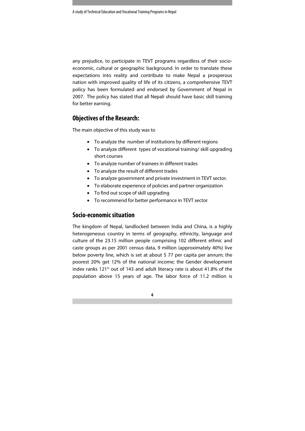any prejudice, to participate in TEVT programs regardless of their socioeconomic, cultural or geographic background. In order to translate these expectations into reality and contribute to make Nepal a prosperous nation with improved quality of life of its citizens, a comprehensive TEVT policy has been formulated and endorsed by Government of Nepal in 2007. The policy has stated that all Nepali should have basic skill training for better earning.

### **Objectives of the Research:**

The main objective of this study was to

- To analyze the number of institutions by different regions
- To analyze different types of vocational training/ skill upgrading short courses
- To analyze number of trainees in different trades
- To analyze the result of different trades
- To analyze government and private investment in TEVT sector.
- To elaborate experience of policies and partner organization
- To find out scope of skill upgrading
- To recommend for better performance in TEVT sector

### **Socio-economic situation**

The kingdom of Nepal, landlocked between India and China, is a highly heterogeneous country in terms of geography, ethnicity, language and culture of the 23.15 million people comprising 102 different ethnic and caste groups as per 2001 census data, 9 million (approximately 40%) live below poverty line, which is set at about \$ 77 per capita per annum; the poorest 20% get 12% of the national income; the Gender development index ranks 121 $<sup>st</sup>$  out of 143 and adult literacy rate is about 41.8% of the</sup> population above 15 years of age. The labor force of 11.2 million is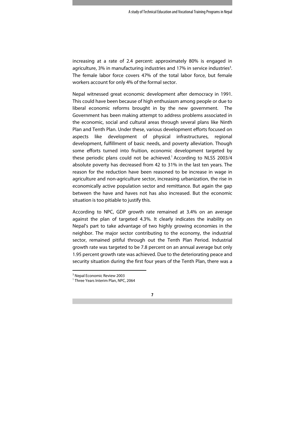increasing at a rate of 2.4 percent: approximately 80% is engaged in agriculture, 3% in manufacturing industries and 17% in service industries $^3\!\!$ . The female labor force covers 47% of the total labor force, but female workers account for only 4% of the formal sector.

Nepal witnessed great economic development after democracy in 1991. This could have been because of high enthusiasm among people or due to liberal economic reforms brought in by the new government. The Government has been making attempt to address problems associated in the economic, social and cultural areas through several plans like Ninth Plan and Tenth Plan. Under these, various development efforts focused on aspects like development of physical infrastructures, regional development, fulfillment of basic needs, and poverty alleviation. Though some efforts turned into fruition, economic development targeted by these periodic plans could not be achieved.1 According to NLSS 2003/4 absolute poverty has decreased from 42 to 31% in the last ten years. The reason for the reduction have been reasoned to be increase in wage in agriculture and non-agriculture sector, increasing urbanization, the rise in economically active population sector and remittance. But again the gap between the have and haves not has also increased. But the economic situation is too pitiable to justify this.

According to NPC, GDP growth rate remained at 3.4% on an average against the plan of targeted 4.3%. It clearly indicates the inability on Nepal's part to take advantage of two highly growing economies in the neighbor. The major sector contributing to the economy, the industrial sector, remained pitiful through out the Tenth Plan Period. Industrial growth rate was targeted to be 7.8 percent on an annual average but only 1.95 percent growth rate was achieved. Due to the deteriorating peace and security situation during the first four years of the Tenth Plan, there was a

<sup>3</sup> Nepal Economic Review 2003

<sup>1</sup> Three Years Interim Plan, NPC, 2064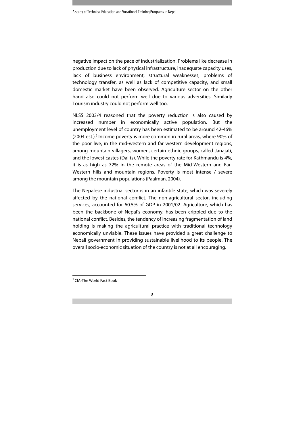negative impact on the pace of industrialization. Problems like decrease in production due to lack of physical infrastructure, inadequate capacity uses, lack of business environment, structural weaknesses, problems of technology transfer, as well as lack of competitive capacity, and small domestic market have been observed. Agriculture sector on the other hand also could not perform well due to various adversities. Similarly Tourism industry could not perform well too.

NLSS 2003/4 reasoned that the poverty reduction is also caused by increased number in economically active population. But the unemployment level of country has been estimated to be around 42-46% (2004 est.).<sup>2</sup> Income poverty is more common in rural areas, where 90% of the poor live, in the mid-western and far western development regions, among mountain villagers, women, certain ethnic groups, called Janajati, and the lowest castes (Dalits). While the poverty rate for Kathmandu is 4%, it is as high as 72% in the remote areas of the Mid-Western and Far-Western hills and mountain regions. Poverty is most intense / severe among the mountain populations (Paalman, 2004).

The Nepalese industrial sector is in an infantile state, which was severely affected by the national conflict. The non-agricultural sector, including services, accounted for 60.5% of GDP in 2001/02. Agriculture, which has been the backbone of Nepal's economy, has been crippled due to the national conflict. Besides, the tendency of increasing fragmentation of land holding is making the agricultural practice with traditional technology economically unviable. These issues have provided a great challenge to Nepali government in providing sustainable livelihood to its people. The overall socio-economic situation of the country is not at all encouraging.

 2 CIA-The World Fact Book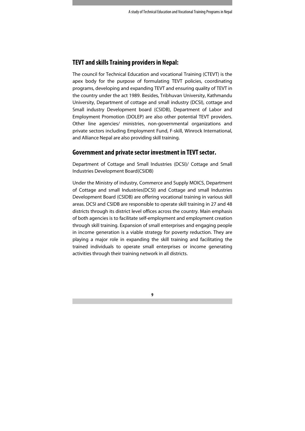### **TEVT and skills Training providers in Nepal:**

The council for Technical Education and vocational Training (CTEVT) is the apex body for the purpose of formulating TEVT policies, coordinating programs, developing and expanding TEVT and ensuring quality of TEVT in the country under the act 1989. Besides, Tribhuvan University, Kathmandu University, Department of cottage and small industry (DCSI), cottage and Small industry Development board (CSIDB), Department of Labor and Employment Promotion (DOLEP) are also other potential TEVT providers. Other line agencies/ ministries, non-governmental organizations and private sectors including Employment Fund, F-skill, Winrock International, and Alliance Nepal are also providing skill training.

### **Government and private sector investment in TEVT sector.**

Department of Cottage and Small Industries (DCSI)/ Cottage and Small Industries Development Board(CSIDB)

Under the Ministry of industry, Commerce and Supply MOICS, Department of Cottage and small Industries(DCSI) and Cottage and small Industries Development Board (CSIDB) are offering vocational training in various skill areas. DCSI and CSIDB are responsible to operate skill training in 27 and 48 districts through its district level offices across the country. Main emphasis of both agencies is to facilitate self-employment and employment creation through skill training. Expansion of small enterprises and engaging people in income generation is a viable strategy for poverty reduction. They are playing a major role in expanding the skill training and facilitating the trained individuals to operate small enterprises or income generating activities through their training network in all districts.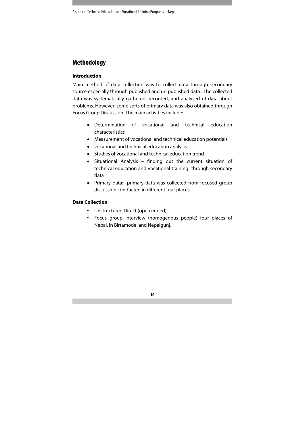### **Methodology**

#### **Introduction**

Main method of data collection was to collect data through secondary source especially through published and un published data . The collected data was systematically gathered, recorded, and analyzed of data about problems. However, some sorts of primary data was also obtained through Focus Group Discussion. The main activities include:

- Determination of vocational and technical education characteristics
- Measurement of vocational and technical education potentials
- vocational and technical education analysis
- Studies of vocational and technical education trend
- Situational Analysis finding out the current situation of technical education and vocational training through secondary data
- Primary data: primary data was collected from focused group discussion conducted in different four places.

#### **Data Collection**

- Unstructured Direct (open ended)
- Focus group interview (homogenous people) four places of Nepal. In Birtamode and Nepalgunj.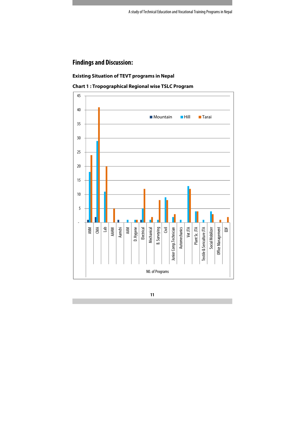### **Findings and Discussion:**

#### **Existing Situation of TEVT programs in Nepal**

#### **Chart 1 : Tropographical Regional wise TSLC Program**

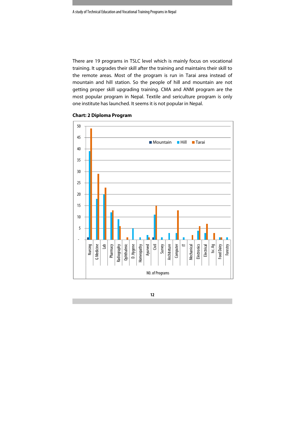There are 19 programs in TSLC level which is mainly focus on vocational training. It upgrades their skill after the training and maintains their skill to the remote areas. Most of the program is run in Tarai area instead of mountain and hill station. So the people of hill and mountain are not getting proper skill upgrading training. CMA and ANM program are the most popular program in Nepal. Textile and sericulture program is only one institute has launched. It seems it is not popular in Nepal.



**Chart: 2 Diploma Program**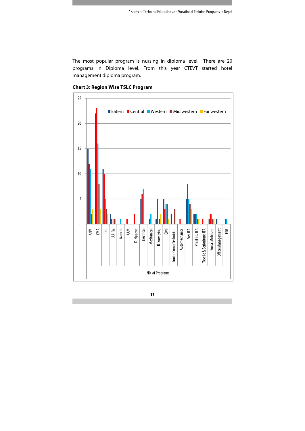The most popular program is nursing in diploma level. There are 20 programs in Diploma level. From this year CTEVT started hotel management diploma program.



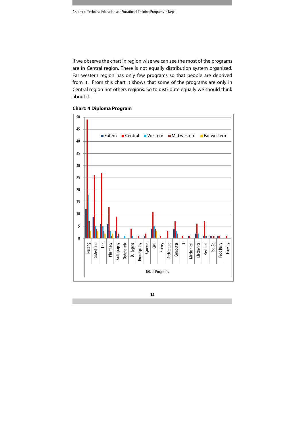If we observe the chart in region wise we can see the most of the programs are in Central region. There is not equally distribution system organized. Far western region has only few programs so that people are deprived from it. From this chart it shows that some of the programs are only in Central region not others regions. So to distribute equally we should think about it.



#### **Chart: 4 Diploma Program**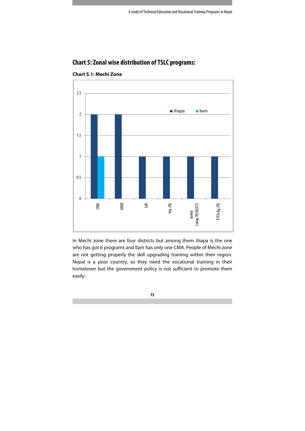### **Chart 5: Zonal wise distribution of TSLC programs:**

# $\theta$ 0.5 1 1.5 2 2.5  $\widetilde{\mathcal{E}}$ ANM Lab Vet.JTA Junior<br>Comp.TECH(JCT) Comp.TECH(JCT) PJTA Ag.JTA ■Jhapa **Ilam**

#### **Chart 5.1: Mechi Zone**

In Mechi zone there are four districts but among them Jhapa is the one who has got 6 programs and Ilam has only one CMA. People of Mechi zone are not getting properly the skill upgrading training within their region. Nepal is a poor country, so they need the vocational training in their hometown but the government policy is not sufficient to promote them easily.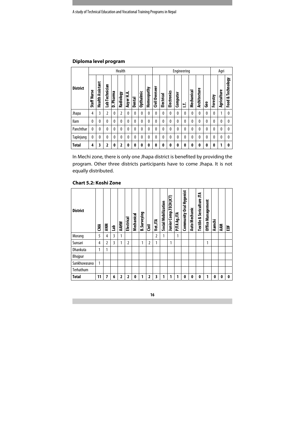#### **Diploma level program**

|                 |              |                      |                |           | Health       |            |               |                  |            |                       |              |              |              | Engineering  |            |              |              |          | Agri         |                   |
|-----------------|--------------|----------------------|----------------|-----------|--------------|------------|---------------|------------------|------------|-----------------------|--------------|--------------|--------------|--------------|------------|--------------|--------------|----------|--------------|-------------------|
| <b>District</b> | Staff Nurse  | Assistant<br>Health. | Lab Technician | D. Pharma | Radiology    | Auyer H.A. | <b>Dental</b> | <b>Opthalmic</b> | Homeopathy | <b>Civil Overseer</b> | Electrical   | Electronics  | Computer     | Ξ            | Mechanical | Architecture | ෂී           | Forestry | Agriculture  | Food & Technology |
| Jhapa           | 4            | 3                    | 2              | 0         | 2            | 0          | $\theta$      | $\mathbf{0}$     | 0          | $\mathbf{0}$          | $\mathbf{0}$ | $\mathbf{0}$ | $\mathbf{0}$ | $\mathbf{0}$ | 0          | $\mathbf{0}$ | 0            | 0        | 1            | $\mathbf{0}$      |
| <b>Ilam</b>     | 0            | 0                    | $\theta$       | $\Omega$  | 0            | 0          | 0             | 0                | 0          | $\mathbf{0}$          | $\mathbf{0}$ | 0            | $\Omega$     | 0            | 0          | $\theta$     | 0            | 0        | 0            | $\mathbf{0}$      |
| Panchthar       | $\mathbf{0}$ | $\mathbf{0}$         | $\mathbf{0}$   | 0         | $\mathbf{0}$ | 0          | $\theta$      | $\theta$         | 0          | $\mathbf{0}$          | 0            | 0            | 0            | $\mathbf{0}$ | 0          | $\theta$     | $\theta$     | 0        | 0            | $\mathbf{0}$      |
| Taplejung       | 0            | 0                    | $\mathbf{0}$   | 0         | $\mathbf{0}$ | 0          | $\mathbf{0}$  | $\mathbf{0}$     | 0          | $\mathbf{0}$          | 0            | $\mathbf{0}$ | 0            | 0            | 0          | 0            | $\mathbf{0}$ | 0        | $\mathbf{0}$ | $\mathbf{0}$      |
| <b>Total</b>    | 4            | 3                    | 2              | 0         | 2            | 0          | 0             | 0                | 0          | 0                     | 0            | 0            | 0            | 0            | 0          | 0            | 0            | 0        | 1            | 0                 |

In Mechi zone, there is only one Jhapa district is benefited by providing the program. Other three districts participants have to come Jhapa. It is not equally distributed.

#### **Chart 5.2: Koshi Zone**

| <b>District</b> | క్టే | <b>NNA</b>     | dab | <b>AAHW</b> | Electrical | Mechanical | <b>B.Surveying</b> | Ιā             | Vet.JTA        | Social Mobilization | Junior Comp.TECH(JCT) | PJTA Ag.JTA | Community Oral Hygenist | <b>Auto Mechanic</b> | Textile & Sericulture JTA | Office Management | <b>Aamchi</b> | MAM | ă |
|-----------------|------|----------------|-----|-------------|------------|------------|--------------------|----------------|----------------|---------------------|-----------------------|-------------|-------------------------|----------------------|---------------------------|-------------------|---------------|-----|---|
| Morang          | 5    | 4              | 3   | 1           |            |            |                    |                | $\overline{2}$ | 1                   |                       | 1           |                         |                      |                           |                   |               |     |   |
| Sunsari         | 4    | $\overline{2}$ | 3   | 1           | 2          |            | 1                  | 2              | 1              |                     | 1                     |             |                         |                      |                           | 1                 |               |     |   |
| <b>Dhankuta</b> | 1    | 1              |     |             |            |            |                    |                |                |                     |                       |             |                         |                      |                           |                   |               |     |   |
| Bhojpur         |      |                |     |             |            |            |                    |                |                |                     |                       |             |                         |                      |                           |                   |               |     |   |
| Sankhuwasava    | 1    |                |     |             |            |            |                    |                |                |                     |                       |             |                         |                      |                           |                   |               |     |   |
| Terhathum       |      |                |     |             |            |            |                    |                |                |                     |                       |             |                         |                      |                           |                   |               |     |   |
| <b>Total</b>    | 11   | 7              | 6   | 2           | 2          | 0          |                    | $\overline{2}$ | 3              |                     | 1                     |             | 0                       | 0                    | 0                         | 1                 | 0             | 0   | 0 |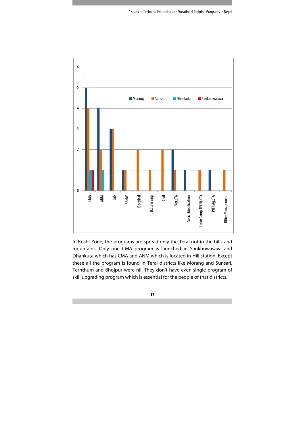

In Koshi Zone, the programs are spread only the Terai not in the hills and mountains. Only one CMA program is launched in Sankhuwasava and Dhankuta which has CMA and ANM which is located in Hill station. Except these all the program is found in Terai districts like Morang and Sunsari. Terhthum and Bhoipur were nil. They don't have even single program of skill upgrading program which is essential for the people of that districts.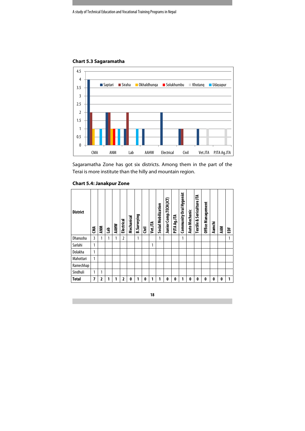

#### **Chart 5.3 Sagaramatha**

Sagaramatha Zone has got six districts. Among them in the part of the Terai is more institute than the hilly and mountain region.

| <b>District</b> | ឪ | ANM | dab | <b>AAHW</b> | Electrical     | Mechanical | <b>B.Surveying</b> | Ξ | Vet.JTA | Social Mobilization | Junior Comp.TECH(JCT) | PJTA Ag.JTA | Community Oral Hygenist | <b>Auto Mechanic</b> | Textile & Sericulture JTA | Office Management | <b>Aamchi</b> | <b>AM</b> | 旨 |
|-----------------|---|-----|-----|-------------|----------------|------------|--------------------|---|---------|---------------------|-----------------------|-------------|-------------------------|----------------------|---------------------------|-------------------|---------------|-----------|---|
| Dhanusha        | 3 |     |     | 1           | $\overline{2}$ |            | 1                  |   |         | 1                   |                       |             | 1                       |                      |                           |                   |               |           | 1 |
| Sarlahi         | 1 |     |     |             |                |            |                    |   | 1       |                     |                       |             |                         |                      |                           |                   |               |           |   |
| Dolakha         | 1 |     |     |             |                |            |                    |   |         |                     |                       |             |                         |                      |                           |                   |               |           |   |
| Mahottari       | 1 |     |     |             |                |            |                    |   |         |                     |                       |             |                         |                      |                           |                   |               |           |   |
| Ramechhap       |   |     |     |             |                |            |                    |   |         |                     |                       |             |                         |                      |                           |                   |               |           |   |
| Sindhuli        | 1 | 1   |     |             |                |            |                    |   |         |                     |                       |             |                         |                      |                           |                   |               |           |   |
| <b>Total</b>    | 7 | 2   |     | 1           | 2              | 0          |                    | 0 |         | 1                   | 0                     | 0           | 1                       | 0                    | 0                         | 0                 | 0             | 0         | 1 |

#### **Chart 5.4: Janakpur Zone**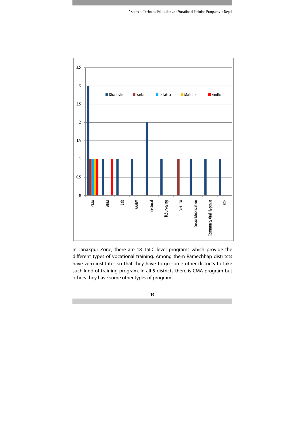

In Janakpur Zone, there are 18 TSLC level programs which provide the different types of vocational training. Among them Ramechhap distritcts have zero institutes so that they have to go some other districts to take such kind of training program. In all 5 districts there is CMA program but others they have some other types of programs.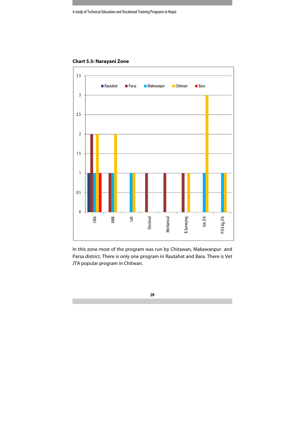

#### **Chart 5.5: Narayani Zone**

In this zone most of the program was run by Chitawan, Makawanpur and Parsa district. There is only one program in Rautahat and Bara. There is Vet JTA popular program in Chitwan.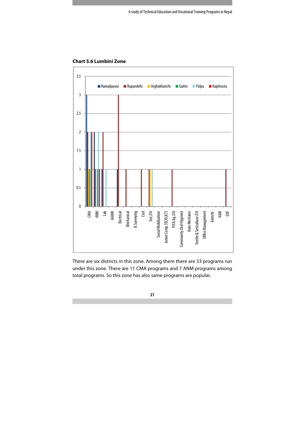

#### **Chart 5.6 Lumbini Zone**

There are six districts in this zone. Among them there are 33 programs run under this zone. There are 11 CMA programs and 7 ANM programs among total programs. So this zone has also same programs are popular.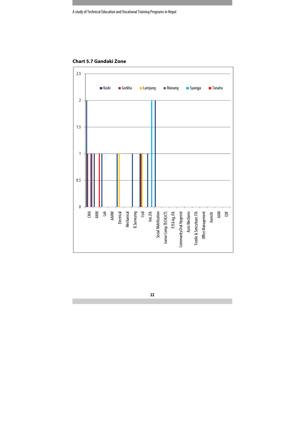

**Chart 5.7 Gandaki Zone**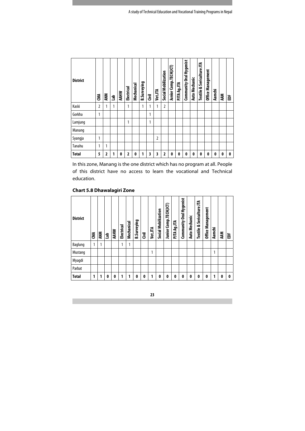| <b>District</b> | క్టే           | <b>MNA</b> | 을 | <b>AAHW</b> | Electrical     | Mechanical | <b>B.Surveying</b> | Ξ | Vet.JTA        | Social Mobilization | Junior Comp.TECH(JCT) | PJTA AgJTA | <b>Community Oral Hygenist</b> | <b>Auto Mechanic</b> | Textile & Sericulture JTA | Office Management | <b>Aamchi</b> | <b>AAM</b> | 旨 |
|-----------------|----------------|------------|---|-------------|----------------|------------|--------------------|---|----------------|---------------------|-----------------------|------------|--------------------------------|----------------------|---------------------------|-------------------|---------------|------------|---|
| Kaski           | $\overline{2}$ | 1          | 1 |             | 1              |            | 1                  | 1 | 1              | $\overline{2}$      |                       |            |                                |                      |                           |                   |               |            |   |
| Gorkha          | 1              |            |   |             |                |            |                    | 1 |                |                     |                       |            |                                |                      |                           |                   |               |            |   |
| Lamjung         |                |            |   |             | 1              |            |                    | 1 |                |                     |                       |            |                                |                      |                           |                   |               |            |   |
| Manang          |                |            |   |             |                |            |                    |   |                |                     |                       |            |                                |                      |                           |                   |               |            |   |
| Syangja         | 1              |            |   |             |                |            |                    |   | $\overline{2}$ |                     |                       |            |                                |                      |                           |                   |               |            |   |
| Tanahu          | 1              | 1          |   |             |                |            |                    |   |                |                     |                       |            |                                |                      |                           |                   |               |            |   |
| <b>Total</b>    | 5              | 2          |   | 0           | $\overline{2}$ | 0          | 1                  | 3 | 3              | $\overline{2}$      | 0                     | 0          | 0                              | 0                    | 0                         | 0                 | 0             | 0          | 0 |

In this zone, Manang is the one district which has no program at all. People of this district have no access to learn the vocational and Technical education.

#### **Chart 5.8 Dhawalagiri Zone**

| <b>District</b> | క్టే | ANM | ٩Ë | <b>MHW</b> | Electrical | Mechanical | <b>B.Surveying</b> | Ξ | Vet.JTA | Social Mobilization | Junior Comp. TECH(JCT) | PJTA Ag.JTA | <b>Hygenist</b><br>Community Oral | Auto Mechanic | Textile & Sericulture JTA | Office Management | <b>Aamchi</b> | <b>AM</b> | 旨 |
|-----------------|------|-----|----|------------|------------|------------|--------------------|---|---------|---------------------|------------------------|-------------|-----------------------------------|---------------|---------------------------|-------------------|---------------|-----------|---|
| Baglung         | 1    |     |    |            | 1          | 1          |                    |   |         |                     |                        |             |                                   |               |                           |                   |               |           |   |
| Mustang         |      |     |    |            |            |            |                    |   | 1       |                     |                        |             |                                   |               |                           |                   | 1             |           |   |
| Myagdi          |      |     |    |            |            |            |                    |   |         |                     |                        |             |                                   |               |                           |                   |               |           |   |
| Parbat          |      |     |    |            |            |            |                    |   |         |                     |                        |             |                                   |               |                           |                   |               |           |   |
| <b>Total</b>    | 1    |     | 0  | 0          | 1          |            | 0                  | 0 |         | 0                   | 0                      | 0           | 0                                 | 0             | 0                         | 0                 |               | 0         | 0 |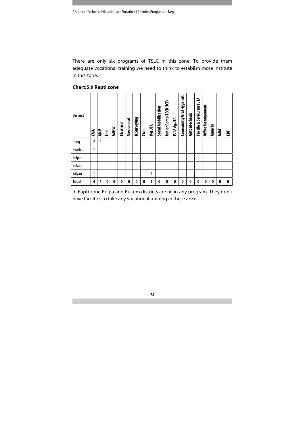There are only six programs of TSLC in this zone. To provide them adequate vocational training we need to think to establish more institute in this zone.

#### **Community Oral Hygenist**  Community Oral Hygenist **Textile & Sericulture JTA Textile & Sericulture JTA Junior Comp.TECH(JCT)**  Junior Comp.TECH(JCT) **Office Management**  Office Management Social Mobilization **Social Mobilization Auto Mechanic Auto Mechanic District B.Surveying PJTA Ag.JTA Mechanical**  Mechanical **Electrical Vet.JTA Aamchi AAHW ANM Civil AAM CMA Lab**  Dang 2 1 Pyuthan | 1 Rolpa Rukum Salyan | 1 | | | | | | | | 1 **Total 4 1 0 0 0 0 0 0 1 0 0 0 0 0 0 0 0 0 0**

 $\Xi$ 

#### **Chart:5.9 Rapti zone**

In Rapti zone Rolpa and Rukum districts are nil in any program. They don't have facilities to take any vocational training in these areas.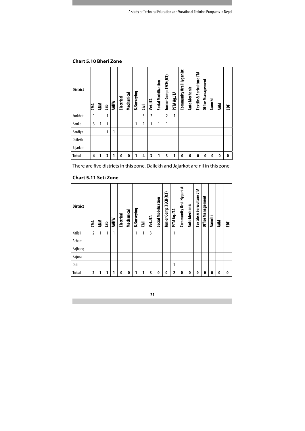| <b>District</b> | <b>CMA</b> | ANM | qey | <b>MHW</b> | Electrical | Mechanical | <b>B.Surveying</b> | Ξ | Vet.JTA | Social Mobilization | Junior Comp.TECH(JCT) | PJTA Ag.JTA | Community Oral Hygenist | <b>Auto Mechanic</b> | Textile & Sericulture JTA | Office Management | Aamchi | <b>AM</b> | 旨 |
|-----------------|------------|-----|-----|------------|------------|------------|--------------------|---|---------|---------------------|-----------------------|-------------|-------------------------|----------------------|---------------------------|-------------------|--------|-----------|---|
| Surkhet         | 1          |     | 1   |            |            |            |                    | 3 | 2       |                     | 2                     | 1           |                         |                      |                           |                   |        |           |   |
| <b>Banke</b>    | 3          | 1   | 1   |            |            |            | 1                  | 1 | 1       | 1                   | 1                     |             |                         |                      |                           |                   |        |           |   |
| Bardiya         |            |     | 1   | 1          |            |            |                    |   |         |                     |                       |             |                         |                      |                           |                   |        |           |   |
| <b>Dailekh</b>  |            |     |     |            |            |            |                    |   |         |                     |                       |             |                         |                      |                           |                   |        |           |   |
| Jajarkot        |            |     |     |            |            |            |                    |   |         |                     |                       |             |                         |                      |                           |                   |        |           |   |
| <b>Total</b>    | 4          | 1   | 3   |            | 0          | 0          | 1                  | 4 | 3       | 1                   | 3                     | 1           | 0                       | 0                    | 0                         | 0                 | 0      | 0         | 0 |

There are five districts in this zone. Dailekh and Jajarkot are nil in this zone.

#### **Chart 5.11 Seti Zone**

| <b>District</b> | CMA            | <b>ANM</b> | qey | <b>MHW</b> | Electrical | Mechanical | <b>B.Surveying</b> | Ξ | Vet.JTA | Social Mobilization | Junior Comp.TECH(JCT) | PJTA Ag.JTA | Community Oral Hygenist | <b>Auto Mechanic</b> | Textile & Sericulture JTA | Office Management | <b>Aamchi</b> | <b>AM</b> | 흡 |
|-----------------|----------------|------------|-----|------------|------------|------------|--------------------|---|---------|---------------------|-----------------------|-------------|-------------------------|----------------------|---------------------------|-------------------|---------------|-----------|---|
| Kailali         | $\overline{2}$ | 1          | 1   | 1          |            |            | 1                  | 1 | 3       |                     |                       | 1           |                         |                      |                           |                   |               |           |   |
| Acham           |                |            |     |            |            |            |                    |   |         |                     |                       |             |                         |                      |                           |                   |               |           |   |
| Bajhang         |                |            |     |            |            |            |                    |   |         |                     |                       |             |                         |                      |                           |                   |               |           |   |
| Bajura          |                |            |     |            |            |            |                    |   |         |                     |                       |             |                         |                      |                           |                   |               |           |   |
| Doti            |                |            |     |            |            |            |                    |   |         |                     |                       | 1           |                         |                      |                           |                   |               |           |   |
| <b>Total</b>    | 2              | 1          | 1   | 1          | 0          | 0          | 1                  | 1 | 3       | 0                   | 0                     | 2           | 0                       | 0                    | 0                         | 0                 | 0             | 0         | 0 |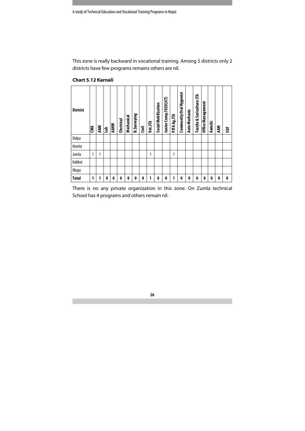This zone is really backward in vocational training. Among 5 districts only 2 districts have few programs remains others are nil.

#### **Chart 5.12 Karnali**

| <b>District</b> | CMA | ANM | del | <b>AAHW</b> | Electrical | Mechanical | <b>B.Surveying</b> | Ξ | Vet.JTA | Social Mobilization | Junior Comp.TECH(JCT) | PJTA Ag.JTA | Community Oral Hygenist | <b>Auto Mechanic</b> | Textile & Sericulture JTA | Office Management | <b>Aamchi</b> | <b>AM</b> | $\Xi$ |
|-----------------|-----|-----|-----|-------------|------------|------------|--------------------|---|---------|---------------------|-----------------------|-------------|-------------------------|----------------------|---------------------------|-------------------|---------------|-----------|-------|
| Dolpa           |     |     |     |             |            |            |                    |   |         |                     |                       |             |                         |                      |                           |                   |               |           |       |
| Humla           |     |     |     |             |            |            |                    |   |         |                     |                       |             |                         |                      |                           |                   |               |           |       |
| Jumla           | 1   | 1   |     |             |            |            |                    |   | 1       |                     |                       | 1           |                         |                      |                           |                   |               |           |       |
| Kalikot         |     |     |     |             |            |            |                    |   |         |                     |                       |             |                         |                      |                           |                   |               |           |       |
| Mugu            |     |     |     |             |            |            |                    |   |         |                     |                       |             |                         |                      |                           |                   |               |           |       |
| <b>Total</b>    | 1   | 1   | 0   | 0           | 0          | 0          | 0                  | 0 | 1       | 0                   | 0                     | 1           | 0                       | 0                    | 0                         | 0                 | 0             | 0         | 0     |

There is no any private organization in this zone. On Zumla technical School has 4 programs and others remain nil.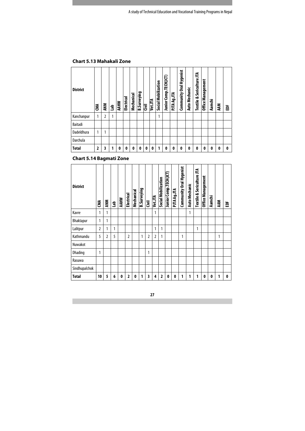#### **Chart 5.13 Mahakali Zone**

| <b>District</b> | ₹ | <b>ANM</b> | del | <b>AAHW</b> | Electrical | Mechanical | <b>B.Surveying</b> | Ē | Vet.JTA | Social Mobilization | Junior Comp.TECH(JCT) | PJTA Ag.JTA | Community Oral Hygenist | <b>Auto Mechanic</b> | Textile & Sericulture JTA | Office Management | <b>Aamchi</b> | AAM | 嵓 |
|-----------------|---|------------|-----|-------------|------------|------------|--------------------|---|---------|---------------------|-----------------------|-------------|-------------------------|----------------------|---------------------------|-------------------|---------------|-----|---|
| Kanchanpur      | 1 | 2          |     |             |            |            |                    |   |         | 1                   |                       |             |                         |                      |                           |                   |               |     |   |
| Baitadi         |   |            |     |             |            |            |                    |   |         |                     |                       |             |                         |                      |                           |                   |               |     |   |
| Dadeldhura      | 1 | 1          |     |             |            |            |                    |   |         |                     |                       |             |                         |                      |                           |                   |               |     |   |
| Darchula        |   |            |     |             |            |            |                    |   |         |                     |                       |             |                         |                      |                           |                   |               |     |   |
| <b>Total</b>    | 2 | 3          | 1   | 0           | 0          | 0          | 0                  | 0 | 0       | 1                   | 0                     | 0           | 0                       | 0                    | 0                         | 0                 | 0             | 0   | 0 |

#### **Chart 5.14 Bagmati Zone**

| <b>District</b> | ឪ  | ANM | 흐 | <b>AAHW</b> | Electrical     | Mechanical | B.Surveying | Ξ              | <b>Vet.JTA</b> | Social Mobilization | Junior Comp. TECH (JCT | PJTA Ag.JTA | <b>Community Oral Hygenist</b> | <b>Auto Mechanic</b> | Textile & Sericulture JTA | Office Management | <b>Aamchi</b> | <b>AM</b> | 嵓 |
|-----------------|----|-----|---|-------------|----------------|------------|-------------|----------------|----------------|---------------------|------------------------|-------------|--------------------------------|----------------------|---------------------------|-------------------|---------------|-----------|---|
| Kavre           | 1  | 1   |   |             |                |            |             |                | 1              |                     |                        |             |                                | 1                    |                           |                   |               |           |   |
| Bhaktapur       | 1  | 1   |   |             |                |            |             |                |                |                     |                        |             |                                |                      |                           |                   |               |           |   |
| Lalitpur        | 2  | 1   | 1 |             |                |            |             |                | 1              | 1                   |                        |             |                                |                      | 1                         |                   |               |           |   |
| Kathmandu       | 5  | 2   | 5 |             | $\overline{2}$ |            | 1           | $\overline{2}$ | $\overline{2}$ | 1                   |                        |             | 1                              |                      |                           |                   |               | 1         |   |
| Nuwakot         |    |     |   |             |                |            |             |                |                |                     |                        |             |                                |                      |                           |                   |               |           |   |
| <b>Dhading</b>  | 1  |     |   |             |                |            |             | 1              |                |                     |                        |             |                                |                      |                           |                   |               |           |   |
| Rasuwa          |    |     |   |             |                |            |             |                |                |                     |                        |             |                                |                      |                           |                   |               |           |   |
| Sindhupalchok   |    |     |   |             |                |            |             |                |                |                     |                        |             |                                |                      |                           |                   |               |           |   |
| <b>Total</b>    | 10 | 5   | 6 | 0           | $\overline{2}$ | 0          | 1           | 3              | 4              | $\overline{2}$      | 0                      | 0           | 1                              | 1                    | 1                         | 0                 | 0             | 1         | 0 |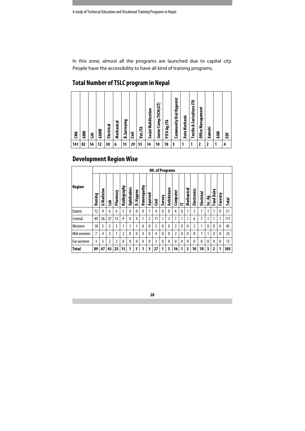In this zone, almost all the programs are launched due to capital city. People have the accessibility to have all kind of training programs.

### **Total Number of TSLC program in Nepal**

| ≨   | <b>NNA</b> | ٩F | <b>AAHW</b> | Electrical | Mechanical | <b>B.Surveying</b> | ίš | Vet.JTA | Social Mobilization | Junior Comp.TECH(JCT) | PJTA Ag.JTA | Community Oral Hygenist | <b>Auto Mechanic</b> | ⋚<br>Textile & Sericulture | Office Management | <b>Aamchi</b> | ÃМ | ä |
|-----|------------|----|-------------|------------|------------|--------------------|----|---------|---------------------|-----------------------|-------------|-------------------------|----------------------|----------------------------|-------------------|---------------|----|---|
| 141 | 82         | 54 | 12          | 30         | 6          | 15                 | 29 | 55      | 14                  | 10                    | 18          | 3                       | 1                    | 1                          | 2                 | 2             | 1  | 4 |

### **Development Region Wise**

|                    |         | <b>NO. of Programs</b> |    |          |             |              |                    |              |              |    |              |              |              |              |                |             |              |              |              |          |       |
|--------------------|---------|------------------------|----|----------|-------------|--------------|--------------------|--------------|--------------|----|--------------|--------------|--------------|--------------|----------------|-------------|--------------|--------------|--------------|----------|-------|
| <b>Region</b>      | Nursing | <b>G Medicine</b>      | 흡  | Pharmacy | Radiography | Ophthalmic   | <b>Hygene</b><br>خ | Homeopathy   | Ayurved      | Ξ  | Survey       | Architeture  | Computer     | ᄇ            | Mechanical     | Electronics | Electrical   | Isc.Ag       | Food Dairy   | Forestry | Total |
| Eatern             | 12      | 9                      | 6  | 6        | 3           | 0            | 0                  | $\mathbf{0}$ | 1            | 4  | 0            | 0            | 4            | $\mathbf{0}$ |                | 2           |              |              | 1            | 0        | 51    |
| Central            | 49      | 26                     | 27 | 13       | 9           | 0            | 4                  | 1            | 2            | 11 | 1            | 3            | 7            | 1            |                | 6           | 7            |              | 1            | 1        | 171   |
| Western            | 18      | 5                      | 5  | 3        | 1           | 1            | 1                  | $\mathbf{0}$ | 0            | 5  | 0            | 0            | 3            | $\mathbf{0}$ | 0              | 2           | 1            | $\mathbf{0}$ | $\mathbf{0}$ | 0        | 45    |
| Mid western        | 7       | 4                      | 3  |          | 2           | 0            | 0                  | $\mathbf{0}$ | $\mathbf{0}$ | 4  | $\mathbf{0}$ | $\mathbf{0}$ | 2            | $\theta$     | $\theta$       | 0           |              | 1            | $\theta$     | 0        | 25    |
| <b>Far western</b> | 3       | 3                      | 2  | 2        | 0           | $\mathbf{0}$ | 0                  | $\mathbf{0}$ | $\mathbf{0}$ | 3  | 0            | 0            | $\mathbf{0}$ | $\mathbf{0}$ | $\mathbf{0}$   | 0           | $\mathbf{0}$ | $\mathbf{0}$ | 0            | 0        | 13    |
| <b>Total</b>       | 89      | 47                     | 43 | 25       | 15          | 1            | 5                  | 1            | 3            | 27 | 1            | 3            | 16           | 1            | $\overline{2}$ | 10          | 10           | 3            | 2            | 1        | 305   |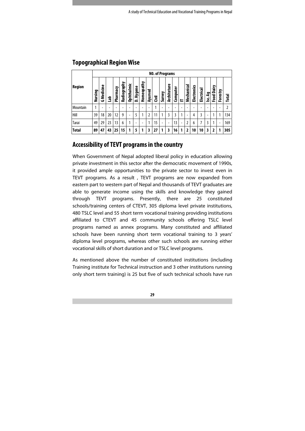|               |         | <b>NO. of Programs</b> |     |          |             |            |                    |            |         |         |        |                    |          |   |            |             |                 |        |            |          |       |
|---------------|---------|------------------------|-----|----------|-------------|------------|--------------------|------------|---------|---------|--------|--------------------|----------|---|------------|-------------|-----------------|--------|------------|----------|-------|
| <b>Region</b> | Nursing | <b>G</b> Medicine      | dab | Pharmacy | Radiography | Ophthalmic | <b>Hygene</b><br>خ | Homeopathy | Ayurved | Ξ       | Survey | <b>Architeture</b> | Computer | ᄂ | Mechanical | Electronics | -<br>Electrical | Isc.Ag | Food Dairy | Forestry | Total |
| Mountain      |         | -                      | ٠   | -        | -           | -          | ٠                  | -          | -       |         | ۰      | -                  | ۰        | - | -          | -           | ٠               |        | -          |          | 2     |
| Hill          | 39      | 18                     | 20  | 12       | 9           |            | 5                  |            | ኀ       | 11<br>1 |        | 3                  | 3        |   |            | 4           | 3               | -      | ٠          |          | 134   |
| <b>Tarai</b>  | 49      | 29                     | 23  | 13       | 6           |            | ۰                  |            |         | 15      | ۰      | -                  | 13       | - | 2          | 6           | 7               |        |            |          | 169   |
| <b>Total</b>  | 89      | 47                     | 43  | 25       | 15          |            | 5                  |            | 3       | 27      |        | 3                  | 16       |   | 2          | 10          | 10              | 3      | 2          |          | 305   |

### **Topographical Region Wise**

### **Accessibility of TEVT programs in the country**

When Government of Nepal adopted liberal policy in education allowing private investment in this sector after the democratic movement of 1990s, it provided ample opportunities to the private sector to invest even in TEVT programs. As a result , TEVT programs are now expanded from eastern part to western part of Nepal and thousands of TEVT graduates are able to generate income using the skills and knowledge they gained through TEVT programs. Presently, there are 25 constituted schools/training centers of CTEVT, 305 diploma level private institutions, 480 TSLC level and 55 short term vocational training providing institutions affiliated to CTEVT and 45 community schools offering TSLC level programs named as annex programs. Many constituted and affiliated schools have been running short term vocational training to 3 years' diploma level programs, whereas other such schools are running either vocational skills of short duration and or TSLC level programs.

As mentioned above the number of constituted institutions (including Training institute for Technical instruction and 3 other institutions running only short term training) is 25 but five of such technical schools have run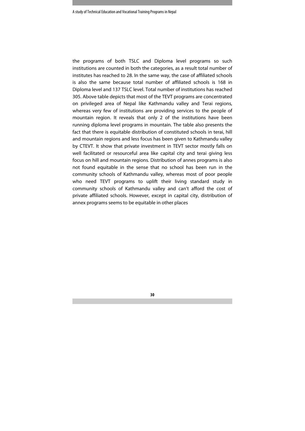the programs of both TSLC and Diploma level programs so such institutions are counted in both the categories, as a result total number of institutes has reached to 28. In the same way, the case of affiliated schools is also the same because total number of affiliated schools is 168 in Diploma level and 137 TSLC level. Total number of institutions has reached 305. Above table depicts that most of the TEVT programs are concentrated on privileged area of Nepal like Kathmandu valley and Terai regions, whereas very few of institutions are providing services to the people of mountain region. It reveals that only 2 of the institutions have been running diploma level programs in mountain. The table also presents the fact that there is equitable distribution of constituted schools in terai, hill and mountain regions and less focus has been given to Kathmandu valley by CTEVT. It show that private investment in TEVT sector mostly falls on well facilitated or resourceful area like capital city and terai giving less focus on hill and mountain regions. Distribution of annes programs is also not found equitable in the sense that no school has been run in the community schools of Kathmandu valley, whereas most of poor people who need TEVT programs to uplift their living standard study in community schools of Kathmandu valley and can't afford the cost of private affiliated schools. However, except in capital city, distribution of annex programs seems to be equitable in other places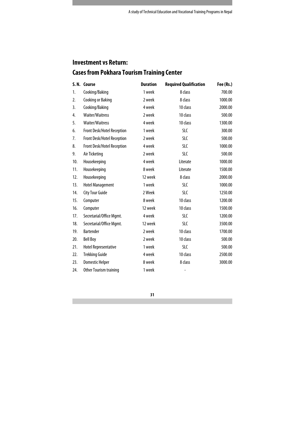# **Investment vs Return: Cases from Pokhara Tourism Training Center**

|     | S.N. Course                       | <b>Duration</b> | <b>Required Qualification</b> | Fee (Rs.) |
|-----|-----------------------------------|-----------------|-------------------------------|-----------|
| 1.  | Cooking/Baking                    | 1 week          | 8 class                       | 700.00    |
| 2.  | <b>Cooking or Baking</b>          | 2 week          | 8 class                       | 1000.00   |
| 3.  | Cooking/Baking                    | 4 week          | 10 class                      | 2000.00   |
| 4.  | <b>Waiter/Waitress</b>            | 2 week          | 10 class                      | 500.00    |
| 5.  | <b>Waiter/Waitress</b>            | 4 week          | 10 class                      | 1300.00   |
| 6.  | <b>Front Desk/Hotel Reception</b> | 1 week          | <b>SLC</b>                    | 300.00    |
| 7.  | <b>Front Desk/Hotel Reception</b> | 2 week          | <b>SLC</b>                    | 500.00    |
| 8.  | <b>Front Desk/Hotel Reception</b> | 4 week          | <b>SLC</b>                    | 1000.00   |
| 9.  | Air Ticketing                     | 2 week          | <b>SLC</b>                    | 500.00    |
| 10. | Housekeeping                      | 4 week          | Literate                      | 1000.00   |
| 11. | Housekeeping                      | 8 week          | Literate                      | 1500.00   |
| 12. | Housekeeping                      | 12 week         | 8 class                       | 2000.00   |
| 13. | <b>Hotel Management</b>           | 1 week          | <b>SLC</b>                    | 1000.00   |
| 14. | <b>City Tour Guide</b>            | 2 Week          | <b>SLC</b>                    | 1250.00   |
| 15. | Computer                          | 8 week          | 10 class                      | 1200.00   |
| 16. | Computer                          | 12 week         | 10 class                      | 1500.00   |
| 17. | Secretarial/Office Mgmt.          | 4 week          | <b>SLC</b>                    | 1200.00   |
| 18. | Secretarial/Office Mgmt.          | 12 week         | <b>SLC</b>                    | 3500.00   |
| 19. | Bartender                         | 2 week          | 10 class                      | 1700.00   |
| 20. | <b>Bell Boy</b>                   | 2 week          | 10 class                      | 500.00    |
| 21. | Hotel Representative              | 1 week          | <b>SLC</b>                    | 500.00    |
| 22. | <b>Trekking Guide</b>             | 4 week          | 10 class                      | 2500.00   |
| 23. | <b>Domestic Helper</b>            | 8 week          | 8 class                       | 3000.00   |
| 24. | Other Tourism training            | 1 week          | $\overline{a}$                |           |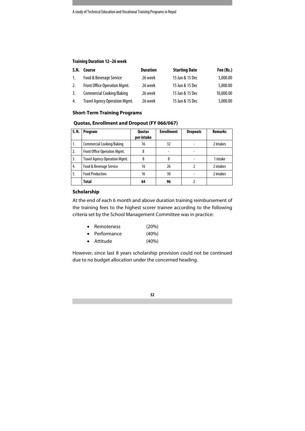#### **Training Duration 12–26 week**

| S.N.        | Course                               | <b>Duration</b> | <b>Starting Date</b> | Fee (Rs.) |
|-------------|--------------------------------------|-----------------|----------------------|-----------|
| $1_{\cdot}$ | Food & Beverage Service              | 26 week         | 15 Jun & 15 Dec      | 5,000.00  |
| 2.          | Front Office Operation Mgmt.         | 26 week         | 15 Jun & 15 Dec      | 5,000.00  |
| 3.          | <b>Commercial Cooking/Baking</b>     | 26 week         | 15 Jun & 15 Dec      | 10.000.00 |
| 4.          | <b>Travel Agency Operation Mgmt.</b> | 26 week         | 15 Jun & 15 Dec      | 5,000.00  |

#### **Short-Term Training Programs**

#### **Quotas, Enrollment and Dropout (FY 066/067)**

| S.N. | Program                              | Quotas<br>per intake | <b>Enrollment</b> | <b>Dropouts</b> | <b>Remarks</b> |
|------|--------------------------------------|----------------------|-------------------|-----------------|----------------|
| 1.   | <b>Commercial Cooking/Baking</b>     | 16                   | 32                |                 | 2 intakes      |
| 2.   | Front Office Operation Mgmt.         | 8                    |                   |                 |                |
| 3.   | <b>Travel Agency Operation Mgmt.</b> | 8                    |                   |                 | 1 intake       |
| 4.   | Food & Beverage Service              | 16                   | 26                |                 | 2 intakes      |
| 5.   | <b>Food Production</b>               | 16                   | 30                |                 | 2 intakes      |
|      | <b>Total</b>                         | 64                   | 96                |                 |                |

#### **Scholarship**

At the end of each 6 month and above duration training reimbursement of the training fees to the highest scorer trainee according to the following criteria set by the School Management Committee was in practice:

| $\bullet$ | Remoteness       | (20%)   |
|-----------|------------------|---------|
|           | $D$ aufausan san | (100/1) |

Performance (40%)

Attitude (40%)

However, since last 8 years scholarship provision could not be continued due to no budget allocation under the concerned heading.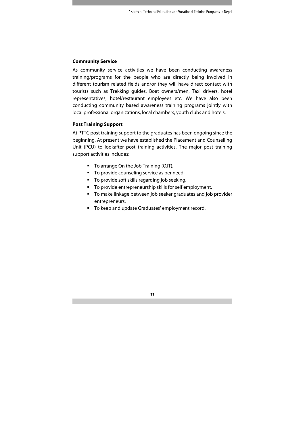#### **Community Service**

As community service activities we have been conducting awareness training/programs for the people who are directly being involved in different tourism related fields and/or they will have direct contact with tourists such as Trekking guides, Boat owners/men, Taxi drivers, hotel representatives, hotel/restaurant employees etc. We have also been conducting community based awareness training programs jointly with local professional organizations, local chambers, youth clubs and hotels.

#### **Post Training Support**

At PTTC post training support to the graduates has been ongoing since the beginning. At present we have established the Placement and Counselling Unit (PCU) to lookafter post training activities. The major post training support activities includes:

- To arrange On the Job Training (OJT),
- To provide counseling service as per need,
- **To provide soft skills regarding job seeking,**
- To provide entrepreneurship skills for self employment,
- To make linkage between job seeker graduates and job provider entrepreneurs,
- To keep and update Graduates' employment record.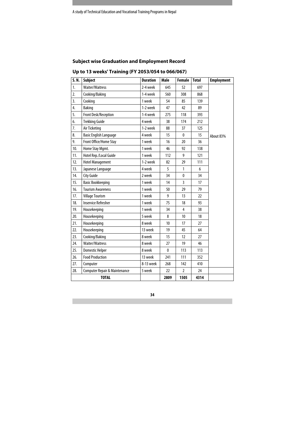#### **Subject wise Graduation and Employment Record**

# **Up to 13 weeks' Training (FY 2053/054 to 066/067)**

| S.N. | Subject                       | <b>Duration</b> | Male         | Female           | <b>Total</b> | <b>Employment</b> |
|------|-------------------------------|-----------------|--------------|------------------|--------------|-------------------|
| 1.   | <b>Waiter/Waitress</b>        | 2-4 week        | 645          | 52               | 697          |                   |
| 2.   | Cooking/Baking                | 1-4 week        | 560          | 308              | 868          |                   |
| 3.   | Cooking                       | 1 week          | 54           | 85               | 139          |                   |
| 4.   | <b>Baking</b>                 | 1-2 week        | 47           | 42               | 89           |                   |
| 5.   | Front Desk/Reception          | 1-4 week        | 275          | 118              | 393          |                   |
| 6.   | <b>Trekking Guide</b>         | 4 week          | 38           | 174              | 212          |                   |
| 7.   | Air Ticketing                 | 1-2 week        | 88           | 37               | 125          |                   |
| 8.   | Basic English Language        | 4 week          | 15           | 0                | 15           | About 83%         |
| 9.   | Front Office/Home Stay        | 1 week          | 16           | 20               | 36           |                   |
| 10.  | Home Stay Mgmt.               | 1 week          | 46           | 92               | 138          |                   |
| 11.  | Hotel Rep./Local Guide        | 1 week          | 112          | 9                | 121          |                   |
| 12.  | <b>Hotel Management</b>       | 1-2 week        | 82           | 29               | 111          |                   |
| 13.  | Japanese Language             | 4 week          | 5            | 1                | 6            |                   |
| 14.  | <b>City Guide</b>             | 2 week          | 34           | $\mathbf{0}$     | 34           |                   |
| 15.  | <b>Basic Bookkeeping</b>      | 1 week          | 14           | $\overline{3}$   | 17           |                   |
| 16.  | <b>Tourism Awareness</b>      | 1 week          | 50           | 29               | 79           |                   |
| 17.  | <b>Village Tourism</b>        | 1 week          | 9            | 13               | 22           |                   |
| 18.  | <b>Inservice Refresher</b>    | 1 week          | 75           | 18               | 93           |                   |
| 19.  | Housekeeping                  | 1 week          | 34           | $\overline{4}$   | 38           |                   |
| 20.  | Housekeeping                  | 5 week          | 8            | 10 <sup>10</sup> | 18           |                   |
| 21.  | Housekeeping                  | 8 week          | 10           | 17               | 27           |                   |
| 22.  | Housekeeping                  | 13 week         | 19           | 45               | 64           |                   |
| 23.  | Cooking/Baking                | 8 week          | 15           | 12               | 27           |                   |
| 24.  | Waiter/Waitress               | 8 week          | 27           | 19               | 46           |                   |
| 25.  | <b>Domestic Helper</b>        | 8 week          | $\mathbf{0}$ | 113              | 113          |                   |
| 26.  | <b>Food Production</b>        | 13 week         | 241          | 111              | 352          |                   |
| 27.  | Computer                      | 8-13 week       | 268          | 142              | 410          |                   |
| 28.  | Computer Repair & Maintenance | 5 week          | 22           | 2                | 24           |                   |
|      | <b>TOTAL</b>                  |                 | 2809         | 1505             | 4314         |                   |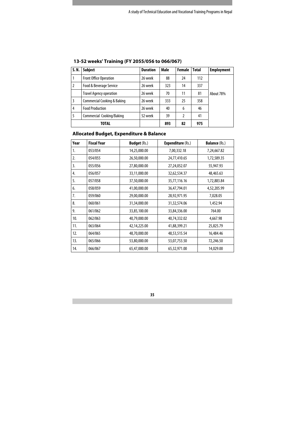| S.N.           | <b>Subject</b>                 | <b>Duration</b> | Male | <b>Female</b> | <b>Total</b> | <b>Employment</b> |
|----------------|--------------------------------|-----------------|------|---------------|--------------|-------------------|
|                | <b>Front Office Operation</b>  | 26 week         | 88   | 24            | 112          |                   |
| $\overline{2}$ | Food & Beverage Service        | 26 week         | 323  | 14            | 337          |                   |
|                | <b>Travel Agency operation</b> | 26 week         | 70   | 11            | 81           | About 78%         |
| 3              | Commercial Cooking & Baking    | 26 week         | 333  | 25            | 358          |                   |
| 4              | <b>Food Production</b>         | 26 week         | 40   | 6             | 46           |                   |
| 5              | Commercial Cooking/Baking      | 52 week         | 39   | 2             | 41           |                   |
|                | <b>TOTAL</b>                   |                 | 893  | 82            | 975          |                   |

#### **13-52 weeks' Training (FY 2055/056 to 066/067)**

#### **Allocated Budget, Expenditure & Balance**

| Year             | <b>Fiscal Year</b> | <b>Budget (Rs.)</b> | <b>Expenditure</b> (Rs.) | <b>Balance (Rs.)</b> |
|------------------|--------------------|---------------------|--------------------------|----------------------|
| 1.               | 053/054            | 14,25,000.00        | 7,00,332.18              | 7,24,667.82          |
| 2.               | 054/055            | 26,50,000.00        | 24,77,410.65             | 1,72,589.35          |
| $\overline{3}$ . | 055/056            | 27,80,000.00        | 27,24,052.07             | 55,947.93            |
| 4.               | 056/057            | 33,11,000.00        | 32,62,534.37             | 48,465.63            |
| 5.               | 057/058            | 37,50,000.00        | 35,77,116.16             | 1,72,883.84          |
| 6.               | 058/059            | 41,00,000.00        | 36,47,794.01             | 4,52,205.99          |
| 7.               | 059/060            | 29,00,000.00        | 28,92,971.95             | 7,028.05             |
| 8.               | 060/061            | 31,34,000.00        | 31,32,574.06             | 1,452.94             |
| 9.               | 061/062            | 33,85,100.00        | 33,84,336.00             | 764.00               |
| 10.              | 062/063            | 40,79,000.00        | 40,74,332.02             | 4,667.98             |
| 11.              | 063/064            | 42,14,225.00        | 41,88,399.21             | 25,825.79            |
| 12.              | 064/065            | 48,70,000.00        | 48,53,515.54             | 16,484.46            |
| 13.              | 065/066            | 53,80,000.00        | 53,07,753.50             | 72,246.50            |
| 14.              | 066/067            | 65,47,000.00        | 65,32,971.00             | 14,029.00            |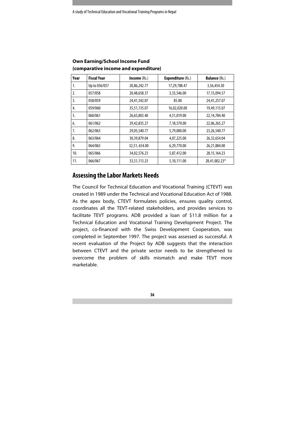| Year | <b>Fiscal Year</b> | <b>Income</b> (Rs.) | <b>Expenditure (Rs.)</b> | <b>Balance (Rs.)</b> |
|------|--------------------|---------------------|--------------------------|----------------------|
| 1.   | Up to 056/057      | 20,86,242.77        | 17,29,788.47             | 3,56,454.30          |
| 2.   | 057/058            | 20,48,658.37        | 3,33,546.00              | 17,15,094.57         |
| 3.   | 058/059            | 24,41,342.07        | 85.00                    | 24,41,257.07         |
| 4.   | 059/060            | 35,51,135.07        | 16,02,020.00             | 19,49,115.07         |
| 5.   | 060/061            | 26,65,803.40        | 4,51,019.00              | 22,14,784.40         |
| 6.   | 061/062            | 29,42,835.27        | 7,18,570.00              | 22,06,265.27         |
| 7.   | 062/063            | 29,05,540.77        | 5,79,000.00              | 23,26,540.77         |
| 8.   | 063/064            | 30,39,879.04        | 4,07,225.00              | 26,32,654.04         |
| 9.   | 064/065            | 32,51,654.00        | 6,29,770.00              | 26,21,884.00         |
| 10.  | 065/066            | 34,02,576.23        | 5,87,412.00              | 28, 15, 164. 23      |
| 11.  | 066/067            | 33,51,113.23        | 5,10,111.00              | 28,41,002.23*        |

#### **Own Earning/School Income Fund (comparative income and expenditure)**

### **Assessing the Labor Markets Needs**

The Council for Technical Education and Vocational Training (CTEVT) was created in 1989 under the Technical and Vocational Education Act of 1988. As the apex body, CTEVT formulates policies, ensures quality control, coordinates all the TEVT-related stakeholders, and provides services to facilitate TEVT programs. ADB provided a loan of \$11.8 million for a Technical Education and Vocational Training Development Project. The project, co-financed with the Swiss Development Cooperation, was completed in September 1997. The project was assessed as successful. A recent evaluation of the Project by ADB suggests that the interaction between CTEVT and the private sector needs to be strengthened to overcome the problem of skills mismatch and make TEVT more marketable.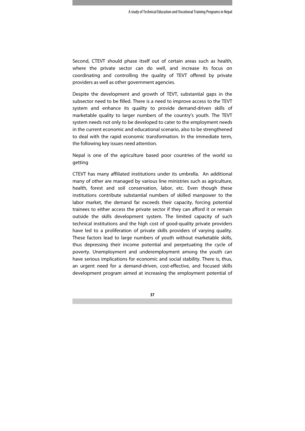Second, CTEVT should phase itself out of certain areas such as health, where the private sector can do well, and increase its focus on coordinating and controlling the quality of TEVT offered by private providers as well as other government agencies.

Despite the development and growth of TEVT, substantial gaps in the subsector need to be filled. There is a need to improve access to the TEVT system and enhance its quality to provide demand-driven skills of marketable quality to larger numbers of the country's youth. The TEVT system needs not only to be developed to cater to the employment needs in the current economic and educational scenario, also to be strengthened to deal with the rapid economic transformation. In the immediate term, the following key issues need attention.

Nepal is one of the agriculture based poor countries of the world so getting

CTEVT has many affiliated institutions under its umbrella. An additional many of other are managed by various line ministries such as agriculture, health, forest and soil conservation, labor, etc. Even though these institutions contribute substantial numbers of skilled manpower to the labor market, the demand far exceeds their capacity, forcing potential trainees to either access the private sector if they can afford it or remain outside the skills development system. The limited capacity of such technical institutions and the high cost of good-quality private providers have led to a proliferation of private skills providers of varying quality. These factors lead to large numbers of youth without marketable skills, thus depressing their income potential and perpetuating the cycle of poverty. Unemployment and underemployment among the youth can have serious implications for economic and social stability. There is, thus, an urgent need for a demand-driven, cost-effective, and focused skills development program aimed at increasing the employment potential of

**37**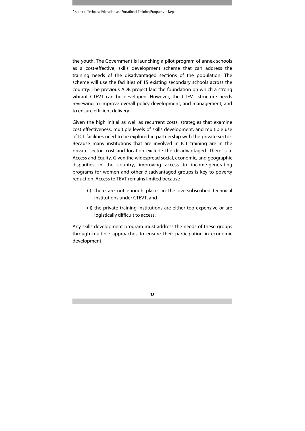the youth. The Government is launching a pilot program of annex schools as a cost-effective, skills development scheme that can address the training needs of the disadvantaged sections of the population. The scheme will use the facilities of 15 existing secondary schools across the country. The previous ADB project laid the foundation on which a strong vibrant CTEVT can be developed. However, the CTEVT structure needs reviewing to improve overall policy development, and management, and to ensure efficient delivery.

Given the high initial as well as recurrent costs, strategies that examine cost effectiveness, multiple levels of skills development, and multiple use of ICT facilities need to be explored in partnership with the private sector. Because many institutions that are involved in ICT training are in the private sector, cost and location exclude the disadvantaged. There is a. Access and Equity. Given the widespread social, economic, and geographic disparities in the country, improving access to income-generating programs for women and other disadvantaged groups is key to poverty reduction. Access to TEVT remains limited because

- (i) there are not enough places in the oversubscribed technical institutions under CTEVT, and
- (ii) the private training institutions are either too expensive or are logistically difficult to access.

Any skills development program must address the needs of these groups through multiple approaches to ensure their participation in economic development.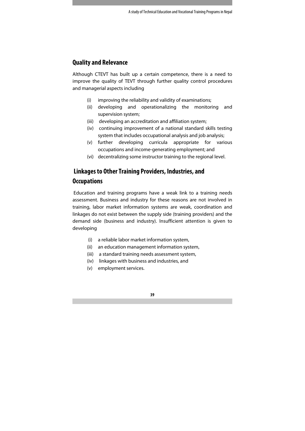### **Quality and Relevance**

Although CTEVT has built up a certain competence, there is a need to improve the quality of TEVT through further quality control procedures and managerial aspects including

- (i) improving the reliability and validity of examinations;
- (ii) developing and operationalizing the monitoring and supervision system;
- (iii) developing an accreditation and affiliation system;
- (iv) continuing improvement of a national standard skills testing system that includes occupational analysis and job analysis;
- (v) further developing curricula appropriate for various occupations and income-generating employment; and
- (vi) decentralizing some instructor training to the regional level.

# **Linkages to Other Training Providers, Industries, and Occupations**

Education and training programs have a weak link to a training needs assessment. Business and industry for these reasons are not involved in training, labor market information systems are weak, coordination and linkages do not exist between the supply side (training providers) and the demand side (business and industry). Insufficient attention is given to developing

- (i) a reliable labor market information system,
- (ii) an education management information system,
- (iii) a standard training needs assessment system,
- (iv) linkages with business and industries, and
- (v) employment services.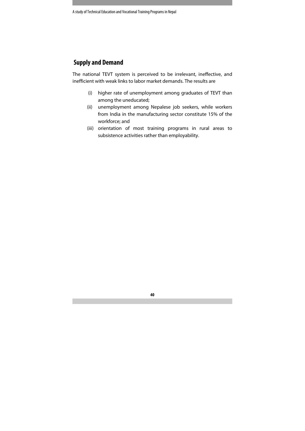### **Supply and Demand**

The national TEVT system is perceived to be irrelevant, ineffective, and inefficient with weak links to labor market demands. The results are

- (i) higher rate of unemployment among graduates of TEVT than among the uneducated;
- (ii) unemployment among Nepalese job seekers, while workers from India in the manufacturing sector constitute 15% of the workforce; and
- (iii) orientation of most training programs in rural areas to subsistence activities rather than employability.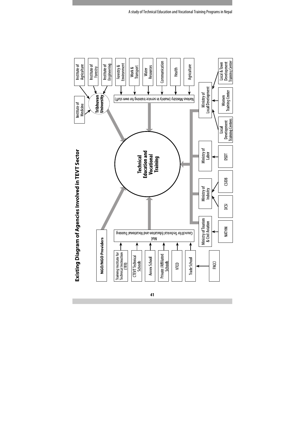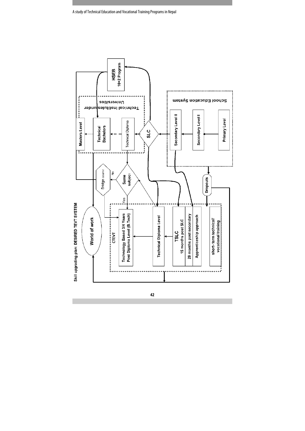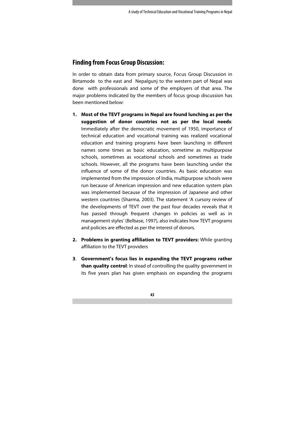### **Finding from Focus Group Discussion:**

In order to obtain data from primary source, Focus Group Discussion in Birtamode to the east and Nepalgunj to the western part of Nepal was done with professionals and some of the employers of that area. The major problems indicated by the members of focus group discussion has been mentioned below:

- **1. Most of the TEVT programs in Nepal are found lunching as per the suggestion of donor countries not as per the local needs**: Immediately after the democratic movement of 1950, importance of technical education and vocational training was realized vocational education and training programs have been launching in different names some times as basic education, sometime as multipurpose schools, sometimes as vocational schools and sometimes as trade schools. However, all the programs have been launching under the influence of some of the donor countries. As basic education was implemented from the impression of India, multipurpose schools were run because of American impression and new education system plan was implemented because of the impression of Japanese and other western countries (Sharma, 2003). The statement 'A cursory review of the developments of TEVT over the past four decades reveals that it has passed through frequent changes in policies as well as in management styles' (Belbase, 1997), also indicates how TEVT programs and policies are effected as per the interest of donors.
- **2. Problems in granting affiliation to TEVT providers:** While granting affiliation to the TEVT providers
- **3**. **Government's focus lies in expanding the TEVT programs rather than quality control**: In stead of controlling the quality government in its five years plan has given emphasis on expanding the programs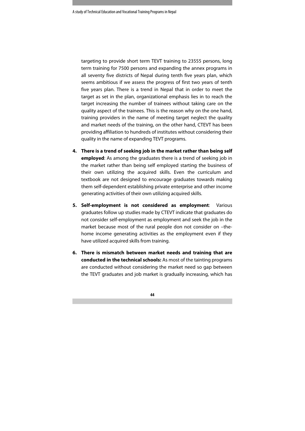targeting to provide short term TEVT training to 23555 persons, long term training for 7500 persons and expanding the annex programs in all seventy five districts of Nepal during tenth five years plan, which seems ambitious if we assess the progress of first two years of tenth five years plan. There is a trend in Nepal that in order to meet the target as set in the plan, organizational emphasis lies in to reach the target increasing the number of trainees without taking care on the quality aspect of the trainees. This is the reason why on the one hand, training providers in the name of meeting target neglect the quality and market needs of the training, on the other hand, CTEVT has been providing affiliation to hundreds of institutes without considering their quality in the name of expanding TEVT programs.

- **4. There is a trend of seeking job in the market rather than being self employed**: As among the graduates there is a trend of seeking job in the market rather than being self employed starting the business of their own utilizing the acquired skills. Even the curriculum and textbook are not designed to encourage graduates towards making them self-dependent establishing private enterprise and other income generating activities of their own utilizing acquired skills.
- **5. Self-employment is not considered as employment**: Various graduates follow up studies made by CTEVT indicate that graduates do not consider self-employment as employment and seek the job in the market because most of the rural people don not consider on –thehome income generating activities as the employment even if they have utilized acquired skills from training.
- **6. There is mismatch between market needs and training that are conducted in the technical schools:** As most of the tainting programs are conducted without considering the market need so gap between the TEVT graduates and job market is gradually increasing, which has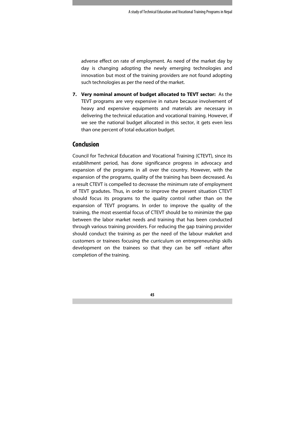adverse effect on rate of employment. As need of the market day by day is changing adopting the newly emerging technologies and innovation but most of the training providers are not found adopting such technologies as per the need of the market.

**7. Very nominal amount of budget allocated to TEVT sector:** As the TEVT programs are very expensive in nature because involvement of heavy and expensive equipments and materials are necessary in delivering the technical education and vocational training. However, if we see the national budget allocated in this sector, it gets even less than one percent of total education budget.

### **Conclusion**

Council for Technical Education and Vocational Training (CTEVT), since its establihment period, has done significance progress in advocacy and expansion of the programs in all over the country. However, with the expansion of the programs, quality of the training has been decreased. As a result CTEVT is compelled to decrease the minimum rate of employment of TEVT gradutes. Thus, in order to improve the present situation CTEVT should focus its programs to the quality control rather than on the expansion of TEVT programs. In order to improve the quality of the training, the most essential focus of CTEVT should be to minimize the gap between the labor market needs and training that has been conducted through various training providers. For reducing the gap training provider should conduct the training as per the need of the labour makrket and customers or trainees focusing the curriculum on entrepreneurship skills development on the trainees so that they can be self -reliant after completion of the training.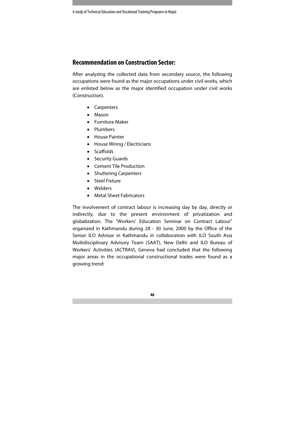### **Recommendation on Construction Sector:**

After analyzing the collected data from secondary source, the following occupations were found as the major occupations under civil works, which are enlisted below as the major identified occupation under civil works (Construction).

- Carpenters
- Mason
- Furniture Maker
- **Plumbers**
- **•** House Painter
- House Wiring / Electricians
- **•** Scaffolds
- Security Guards
- Cement Tile Production
- Shuttering Carpenters
- **Steel Fixture**
- Welders
- Metal Sheet Fabricators

The involvement of contract labour is increasing day by day, directly or indirectly, due to the present environment of privatization and globalization. The "Workers' Education Seminar on Contract Labour" organized in Kathmandu during 28 - 30 June, 2000 by the Office of the Senior ILO Advisor in Kathmandu in collaboration with ILO South Asia Multidisciplinary Advisory Team (SAAT), New Delhi and ILO Bureau of Workers' Activities (ACTRAV), Geneva had concluded that the following major areas in the occupational constructional trades were found as a growing trend: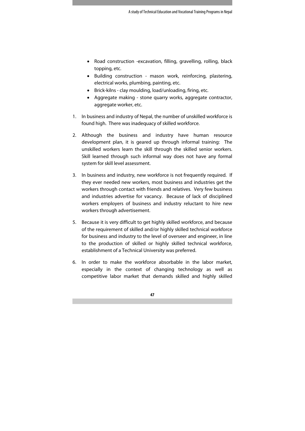- Road construction -excavation, filling, gravelling, rolling, black topping, etc.
- Building construction mason work, reinforcing, plastering, electrical works, plumbing, painting, etc.
- Brick-kilns clay moulding, load/unloading, firing, etc.
- Aggregate making stone quarry works, aggregate contractor, aggregate worker, etc.
- 1. In business and industry of Nepal, the number of unskilled workforce is found high. There was inadequacy of skilled workforce.
- 2. Although the business and industry have human resource development plan, it is geared up through informal training: The unskilled workers learn the skill through the skilled senior workers. Skill learned through such informal way does not have any formal system for skill level assessment.
- 3. In business and industry, new workforce is not frequently required. If they ever needed new workers, most business and industries get the workers through contact with friends and relatives. Very few business and industries advertise for vacancy. Because of lack of disciplined workers employers of business and industry reluctant to hire new workers through advertisement.
- 5. Because it is very difficult to get highly skilled workforce, and because of the requirement of skilled and/or highly skilled technical workforce for business and industry to the level of overseer and engineer, in line to the production of skilled or highly skilled technical workforce, establishment of a Technical University was preferred.
- 6. In order to make the workforce absorbable in the labor market, especially in the context of changing technology as well as competitive labor market that demands skilled and highly skilled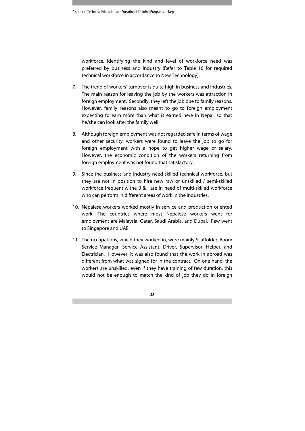workforce, identifying the kind and level of workforce need was preferred by business and industry (Refer to Table 16 for required technical workforce in accordance to New Technology).

- 7. The trend of workers' turnover is quite high in business and industries. The main reason for leaving the job by the workers was attraction in foreign employment. Secondly, they left the job due to family reasons. However, family reasons also meant to go to foreign employment expecting to earn more than what is earned here in Nepal, so that he/she can look after the family well.
- 8. Although foreign employment was not regarded safe in terms of wage and other security, workers were found to leave the job to go for foreign employment with a hope to get higher wage or salary. However, the economic condition of the workers returning from foreign employment was not found that satisfactory.
- 9. Since the business and industry need skilled technical workforce, but they are not in position to hire new raw or unskilled / semi-skilled workforce frequently, the B & I are in need of multi-skilled workforce who can perform in different areas of work in the industries.
- 10. Nepalese workers worked mostly in service and production oriented work. The countries where most Nepalese workers went for employment are Malaysia, Qatar, Saudi Arabia, and Dubai. Few went to Singapore and UAE.
- 11. The occupations, which they worked in, were mainly Scaffolder, Room Service Manager, Service Assistant, Driver, Supervisor, Helper, and Electrician. However, it was also found that the work in abroad was different from what was signed for in the contract. On one hand, the workers are unskilled, even if they have training of few duration, this would not be enough to match the kind of job they do in foreign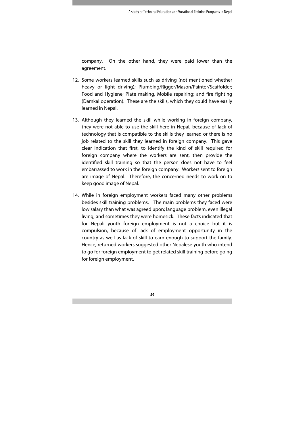company. On the other hand, they were paid lower than the agreement.

- 12. Some workers learned skills such as driving (not mentioned whether heavy or light driving); Plumbing/Rigger/Mason/Painter/Scaffolder; Food and Hygiene; Plate making, Mobile repairing; and fire fighting (Damkal operation). These are the skills, which they could have easily learned in Nepal.
- 13. Although they learned the skill while working in foreign company, they were not able to use the skill here in Nepal, because of lack of technology that is compatible to the skills they learned or there is no job related to the skill they learned in foreign company. This gave clear indication that first, to identify the kind of skill required for foreign company where the workers are sent, then provide the identified skill training so that the person does not have to feel embarrassed to work in the foreign company. Workers sent to foreign are image of Nepal. Therefore, the concerned needs to work on to keep good image of Nepal.
- 14. While in foreign employment workers faced many other problems besides skill training problems. The main problems they faced were low salary than what was agreed upon; language problem, even illegal living, and sometimes they were homesick. These facts indicated that for Nepali youth foreign employment is not a choice but it is compulsion, because of lack of employment opportunity in the country as well as lack of skill to earn enough to support the family. Hence, returned workers suggested other Nepalese youth who intend to go for foreign employment to get related skill training before going for foreign employment.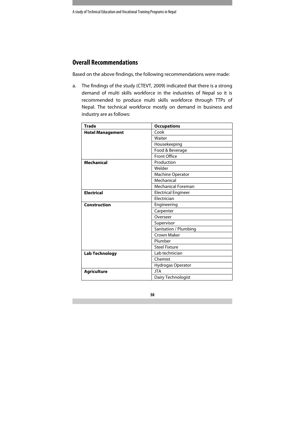### **Overall Recommendations**

Based on the above findings, the following recommendations were made:

a. The findings of the study (CTEVT, 2009) indicated that there is a strong demand of multi skills workforce in the industries of Nepal so it is recommended to produce multi skills workforce through TTPs of Nepal. The technical workforce mostly on demand in business and industry are as follows:

| <b>Trade</b>            | <b>Occupations</b>         |
|-------------------------|----------------------------|
| <b>Hotel Management</b> | Cook                       |
|                         | Waiter                     |
|                         | Housekeeping               |
|                         | Food & Beverage            |
|                         | <b>Front Office</b>        |
| <b>Mechanical</b>       | Production                 |
|                         | Welder                     |
|                         | Machine Operator           |
|                         | Mechanical                 |
|                         | <b>Mechanical Foreman</b>  |
| <b>Electrical</b>       | <b>Electrical Engineer</b> |
|                         | Flectrician                |
| <b>Construction</b>     | Engineering                |
|                         | Carpenter                  |
|                         | Overseer                   |
|                         | Supervisor                 |
|                         | Sanitation / Plumbing      |
|                         | Crown Maker                |
|                         | Plumber                    |
|                         | <b>Steel Fixture</b>       |
| Lab Technology          | Lab technician             |
|                         | Chemist                    |
|                         | Hydrogas Operator          |
| <b>Agriculture</b>      | <b>JTA</b>                 |
|                         | Dairy Technologist         |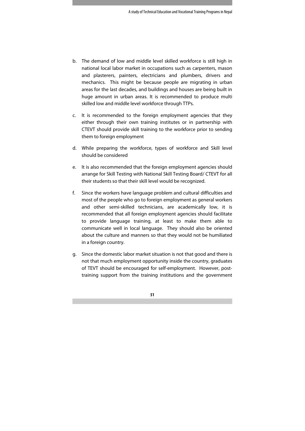- b. The demand of low and middle level skilled workforce is still high in national local labor market in occupations such as carpenters, mason and plasterers, painters, electricians and plumbers, drivers and mechanics. This might be because people are migrating in urban areas for the last decades, and buildings and houses are being built in huge amount in urban areas. It is recommended to produce multi skilled low and middle level workforce through TTPs.
- c. It is recommended to the foreign employment agencies that they either through their own training institutes or in partnership with CTEVT should provide skill training to the workforce prior to sending them to foreign employment
- d. While preparing the workforce, types of workforce and Skill level should be considered
- e. It is also recommended that the foreign employment agencies should arrange for Skill Testing with National Skill Testing Board/ CTEVT for all their students so that their skill level would be recognized.
- f. Since the workers have language problem and cultural difficulties and most of the people who go to foreign employment as general workers and other semi-skilled technicians, are academically low, it is recommended that all foreign employment agencies should facilitate to provide language training, at least to make them able to communicate well in local language. They should also be oriented about the culture and manners so that they would not be humiliated in a foreign country.
- g. Since the domestic labor market situation is not that good and there is not that much employment opportunity inside the country, graduates of TEVT should be encouraged for self-employment. However, posttraining support from the training institutions and the government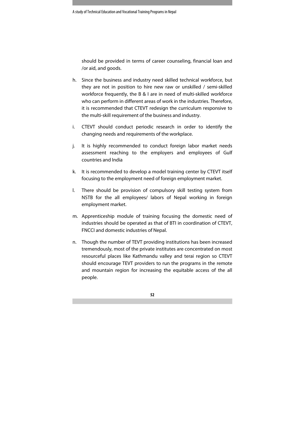should be provided in terms of career counseling, financial loan and /or aid, and goods.

- h. Since the business and industry need skilled technical workforce, but they are not in position to hire new raw or unskilled / semi-skilled workforce frequently, the B & I are in need of multi-skilled workforce who can perform in different areas of work in the industries. Therefore, it is recommended that CTEVT redesign the curriculum responsive to the multi-skill requirement of the business and industry.
- i. CTEVT should conduct periodic research in order to identify the changing needs and requirements of the workplace.
- j. It is highly recommended to conduct foreign labor market needs assessment reaching to the employers and employees of Gulf countries and India
- k. It is recommended to develop a model training center by CTEVT itself focusing to the employment need of foreign employment market.
- l. There should be provision of compulsory skill testing system from NSTB for the all employees/ labors of Nepal working in foreign employment market.
- m. Apprenticeship module of training focusing the domestic need of industries should be operated as that of BTI in coordination of CTEVT, FNCCI and domestic industries of Nepal.
- n. Though the number of TEVT providing institutions has been increased tremendously, most of the private institutes are concentrated on most resourceful places like Kathmandu valley and terai region so CTEVT should encourage TEVT providers to run the programs in the remote and mountain region for increasing the equitable access of the all people.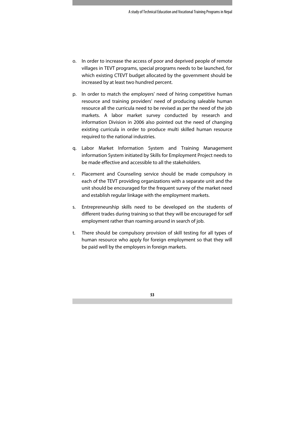- o. In order to increase the access of poor and deprived people of remote villages in TEVT programs, special programs needs to be launched, for which existing CTEVT budget allocated by the government should be increased by at least two hundred percent.
- p. In order to match the employers' need of hiring competitive human resource and training providers' need of producing saleable human resource all the curricula need to be revised as per the need of the job markets. A labor market survey conducted by research and information Division in 2006 also pointed out the need of changing existing curricula in order to produce multi skilled human resource required to the national industries.
- q. Labor Market Information System and Training Management information System initiated by Skills for Employment Project needs to be made effective and accessible to all the stakeholders.
- r. Placement and Counseling service should be made compulsory in each of the TEVT providing organizations with a separate unit and the unit should be encouraged for the frequent survey of the market need and establish regular linkage with the employment markets.
- s. Entrepreneurship skills need to be developed on the students of different trades during training so that they will be encouraged for self employment rather than roaming around in search of job.
- t. There should be compulsory provision of skill testing for all types of human resource who apply for foreign employment so that they will be paid well by the employers in foreign markets.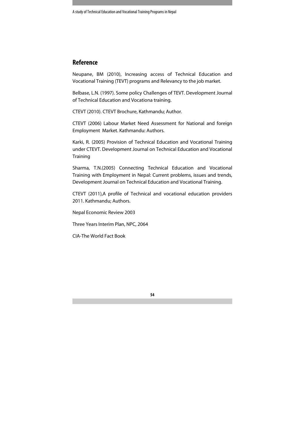### **Reference**

Neupane, BM (2010), Increasing access of Technical Education and Vocational Training (TEVT) programs and Relevancy to the job market.

Belbase, L.N. (1997). Some policy Challenges of TEVT. Development Journal of Technical Education and Vocationa training.

CTEVT (2010). CTEVT Brochure, Kathmandu; Author.

CTEVT (2006) Labour Market Need Assessment for National and foreign Employment Market. Kathmandu: Authors.

Karki, R. (2005) Provision of Technical Education and Vocational Training under CTEVT. Development Journal on Technical Education and Vocational **Training** 

Sharma, T.N.(2005) Connecting Technical Education and Vocational Training with Employment in Nepal: Current problems, issues and trends, Development Journal on Technical Education and Vocational Training.

CTEVT (2011),A profile of Technical and vocational education providers 2011. Kathmandu; Authors.

Nepal Economic Review 2003

Three Years Interim Plan, NPC, 2064

CIA-The World Fact Book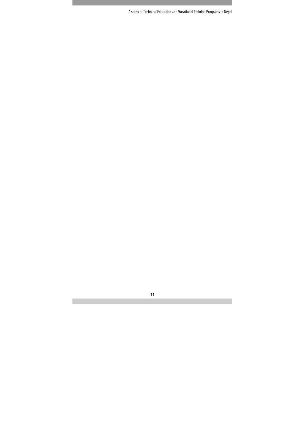A study of Technical Education and Vocational Training Programs in Nepal